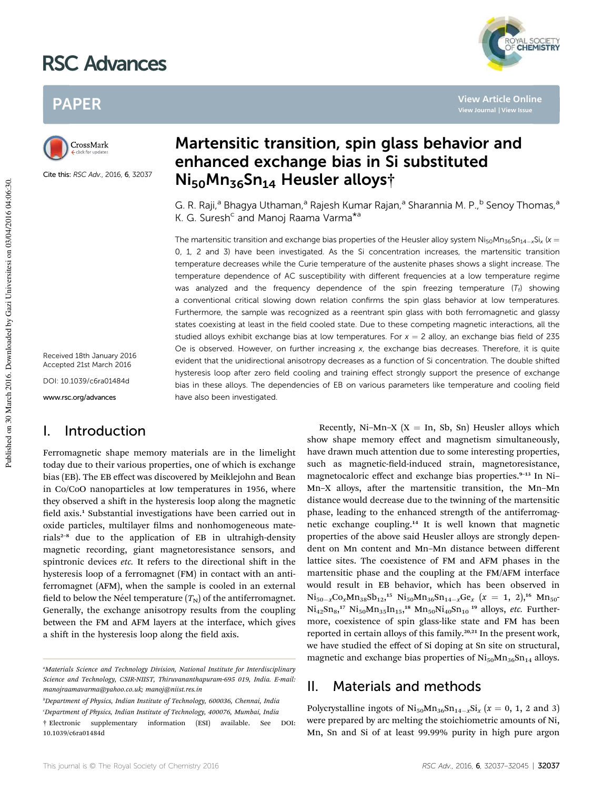# RSC Advances



**View Article Online**

## PAPER



Cite this: RSC Adv., 2016, 6, 32037

Received 18th January 2016 Accepted 21st March 2016 DOI: 10.1039/c6ra01484d

www.rsc.org/advances

### I. Introduction

Ferromagnetic shape memory materials are in the limelight today due to their various properties, one of which is exchange bias (EB). The EB effect was discovered by Meiklejohn and Bean in Co/CoO nanoparticles at low temperatures in 1956, where they observed a shift in the hysteresis loop along the magnetic field axis.<sup>1</sup> Substantial investigations have been carried out in oxide particles, multilayer films and nonhomogeneous materials<sup>2-8</sup> due to the application of EB in ultrahigh-density magnetic recording, giant magnetoresistance sensors, and spintronic devices *etc*. It refers to the directional shift in the hysteresis loop of a ferromagnet (FM) in contact with an antiferromagnet (AFM), when the sample is cooled in an external field to below the Néel temperature  $(T_N)$  of the antiferromagnet. Generally, the exchange anisotropy results from the coupling between the FM and AFM layers at the interface, which gives a shift in the hysteresis loop along the field axis.

*<sup>b</sup>Department of Physics, Indian Institute of Technology, 600036, Chennai, India <sup>c</sup>Department of Physics, Indian Institute of Technology, 400076, Mumbai, India*

# Martensitic transition, spin glass behavior and enhanced exchange bias in Si substituted Ni50Mn36Sn<sup>14</sup> Heusler alloys†

G. R. Raji,<sup>a</sup> Bhagya Uthaman,<sup>a</sup> Rajesh Kumar Rajan,<sup>a</sup> Sharannia M. P.,<sup>b</sup> Senoy Thomas,<sup>a</sup> K. G. Suresh<sup>c</sup> and Manoj Raama Varma<sup>\*a</sup>

The martensitic transition and exchange bias properties of the Heusler alloy system Ni<sub>50</sub>Mn<sub>36</sub>Sn<sub>14-x</sub>Si<sub>x</sub> (x = 0, 1, 2 and 3) have been investigated. As the Si concentration increases, the martensitic transition temperature decreases while the Curie temperature of the austenite phases shows a slight increase. The temperature dependence of AC susceptibility with different frequencies at a low temperature regime was analyzed and the frequency dependence of the spin freezing temperature  $(T_f)$  showing a conventional critical slowing down relation confirms the spin glass behavior at low temperatures. Furthermore, the sample was recognized as a reentrant spin glass with both ferromagnetic and glassy states coexisting at least in the field cooled state. Due to these competing magnetic interactions, all the studied alloys exhibit exchange bias at low temperatures. For  $x = 2$  alloy, an exchange bias field of 235 Oe is observed. However, on further increasing  $x$ , the exchange bias decreases. Therefore, it is quite evident that the unidirectional anisotropy decreases as a function of Si concentration. The double shifted hysteresis loop after zero field cooling and training effect strongly support the presence of exchange bias in these alloys. The dependencies of EB on various parameters like temperature and cooling field have also been investigated.

> Recently, Ni-Mn-X ( $X = In$ , Sb, Sn) Heusler alloys which show shape memory effect and magnetism simultaneously, have drawn much attention due to some interesting properties, such as magnetic-field-induced strain, magnetoresistance, magnetocaloric effect and exchange bias properties.<sup>9-13</sup> In Ni-Mn-X alloys, after the martensitic transition, the Mn-Mn distance would decrease due to the twinning of the martensitic phase, leading to the enhanced strength of the antiferromagnetic exchange coupling.<sup>14</sup> It is well known that magnetic properties of the above said Heusler alloys are strongly dependent on Mn content and Mn–Mn distance between different lattice sites. The coexistence of FM and AFM phases in the martensitic phase and the coupling at the FM/AFM interface would result in EB behavior, which has been observed in  $Ni_{50-x}Co_xMn_{38}Sb_{12}$ <sup>15</sup>  $Ni_{50}Mn_{36}Sn_{14-x}Ge_x$  ( $x = 1, 2$ ),<sup>16</sup>  $Mn_{50}$  $Ni_{42}Sn_8$ ,<sup>17</sup>  $Ni_{50}Mn_{35}In_{15}$ ,<sup>18</sup>  $Mn_{50}Ni_{40}Sn_{10}$ <sup>19</sup> alloys, *etc.* Furthermore, coexistence of spin glass-like state and FM has been reported in certain alloys of this family.<sup>20,21</sup> In the present work, we have studied the effect of Si doping at Sn site on structural, magnetic and exchange bias properties of  $\text{Ni}_{50}\text{Mn}_{36}\text{Sn}_{14}$  alloys.

### II. Materials and methods

Polycrystalline ingots of  $\text{Ni}_{50}\text{Mn}_{36}\text{Sn}_{14-x}\text{Si}_x$  ( $x = 0, 1, 2$  and 3) were prepared by arc melting the stoichiometric amounts of Ni, Mn, Sn and Si of at least 99.99% purity in high pure argon

*<sup>a</sup>Materials Science and Technology Division, National Institute for Interdisciplinary Science and Technology, CSIR-NIIST, Thiruvananthapuram-695 019, India. E-mail: manojraamavarma@yahoo.co.uk; manoj@niist.res.in*

<sup>†</sup> Electronic supplementary information (ESI) available. See DOI: 10.1039/c6ra01484d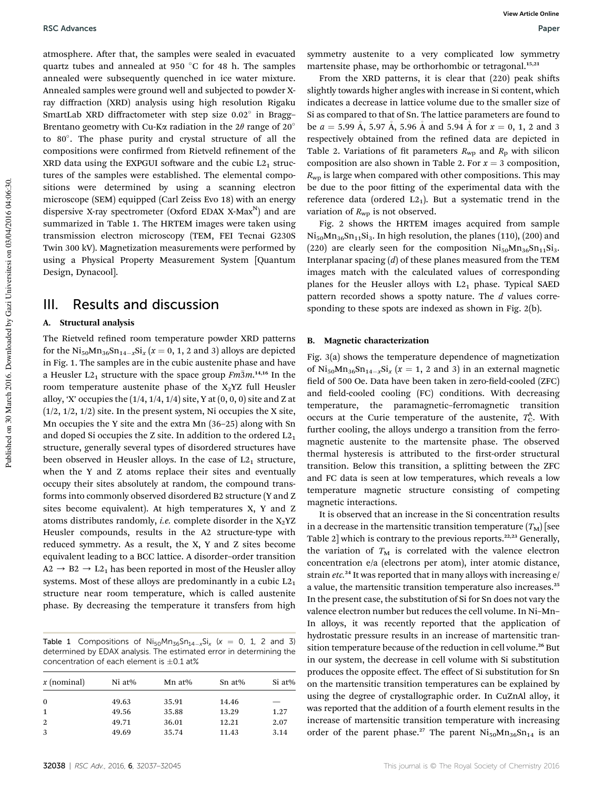atmosphere. After that, the samples were sealed in evacuated quartz tubes and annealed at 950  $\degree$ C for 48 h. The samples annealed were subsequently quenched in ice water mixture. Annealed samples were ground well and subjected to powder Xray diffraction (XRD) analysis using high resolution Rigaku SmartLab XRD diffractometer with step size 0.02° in Bragg-Brentano geometry with Cu-K $\alpha$  radiation in the 2 $\theta$  range of 20 $\degree$ to 80 . The phase purity and crystal structure of all the compositions were confirmed from Rietveld refinement of the XRD data using the EXPGUI software and the cubic  $L2<sub>1</sub>$  structures of the samples were established. The elemental compositions were determined by using a scanning electron microscope (SEM) equipped (Carl Zeiss Evo 18) with an energy dispersive X-ray spectrometer (Oxford EDAX X-Max<sup>N</sup>) and are summarized in Table 1. The HRTEM images were taken using transmission electron microscopy (TEM, FEI Tecnai G230S Twin 300 kV). Magnetization measurements were performed by using a Physical Property Measurement System [Quantum Design, Dynacool].

### III. Results and discussion

#### A. Structural analysis

The Rietveld refined room temperature powder XRD patterns for the  $\text{Ni}_{50}\text{Mn}_{36}\text{Sn}_{14-x}\text{Si}_x$   $(x = 0, 1, 2 \text{ and } 3)$  alloys are depicted in Fig. 1. The samples are in the cubic austenite phase and have a Heusler  $L2_1$  structure with the space group  $\overrightarrow{Fm3m}$ .<sup>14,16</sup> In the room temperature austenite phase of the  $X_2$ YZ full Heusler alloy, 'X' occupies the  $(1/4, 1/4, 1/4)$  site, Y at  $(0, 0, 0)$  site and Z at (1/2, 1/2, 1/2) site. In the present system, Ni occupies the X site, Mn occupies the Y site and the extra Mn (36–25) along with Sn and doped Si occupies the Z site. In addition to the ordered  $L2<sub>1</sub>$ structure, generally several types of disordered structures have been observed in Heusler alloys. In the case of  $L2<sub>1</sub>$  structure, when the Y and Z atoms replace their sites and eventually occupy their sites absolutely at random, the compound transforms into commonly observed disordered B2 structure (Y and Z sites become equivalent). At high temperatures X, Y and Z atoms distributes randomly, *i.e.* complete disorder in the  $X_2$ YZ Heusler compounds, results in the A2 structure-type with reduced symmetry. As a result, the X, Y and Z sites become equivalent leading to a BCC lattice. A disorder–order transition  $A2 \rightarrow B2 \rightarrow L2_1$  has been reported in most of the Heusler alloy systems. Most of these alloys are predominantly in a cubic  $L2<sub>1</sub>$ structure near room temperature, which is called austenite phase. By decreasing the temperature it transfers from high

Table 1 Compositions of  $Ni_{50}Mn_{36}Sn_{14-x}Si_{x}$  ( $x = 0, 1, 2$  and 3) determined by EDAX analysis. The estimated error in determining the concentration of each element is  $\pm 0.1$  at%

| Ni at% | Mn at% | $Sn$ at% | Si at% |
|--------|--------|----------|--------|
| 49.63  | 35.91  | 14.46    |        |
| 49.56  | 35.88  | 13.29    | 1.27   |
| 49.71  | 36.01  | 12.21    | 2.07   |
| 49.69  | 35.74  | 11.43    | 3.14   |
|        |        |          |        |

symmetry austenite to a very complicated low symmetry martensite phase, may be orthorhombic or tetragonal.<sup>15,21</sup>

From the XRD patterns, it is clear that  $(220)$  peak shifts slightly towards higher angles with increase in Si content, which indicates a decrease in lattice volume due to the smaller size of Si as compared to that of Sn. The lattice parameters are found to be  $a = 5.99$  Å, 5.97 Å, 5.96 Å and 5.94 Å for  $x = 0, 1, 2$  and 3 respectively obtained from the refined data are depicted in Table 2. Variations of fit parameters  $R_{wp}$  and  $R_p$  with silicon composition are also shown in Table 2. For  $x = 3$  composition,  $R_{\rm WD}$  is large when compared with other compositions. This may be due to the poor fitting of the experimental data with the reference data (ordered  $L2_1$ ). But a systematic trend in the variation of  $R_{wp}$  is not observed.

Fig. 2 shows the HRTEM images acquired from sample  $\text{Ni}_{50}\text{Mn}_{36}\text{Sn}_{11}\text{Si}_3$ . In high resolution, the planes (110), (200) and (220) are clearly seen for the composition  $Ni_{50}Mn_{36}Sn_{11}Si_3$ . Interplanar spacing (*d*) of these planes measured from the TEM images match with the calculated values of corresponding planes for the Heusler alloys with  $L2<sub>1</sub>$  phase. Typical SAED pattern recorded shows a spotty nature. The *d* values corresponding to these spots are indexed as shown in Fig. 2(b).

#### B. Magnetic characterization

Fig. 3(a) shows the temperature dependence of magnetization of  $\text{Ni}_{50}\text{Mn}_{36}\text{Sn}_{14-x}\text{Si}_x$  ( $x = 1, 2$  and 3) in an external magnetic field of 500 Oe. Data have been taken in zero-field-cooled (ZFC) and field-cooled cooling (FC) conditions. With decreasing temperature, the paramagnetic–ferromagnetic transition occurs at the Curie temperature of the austenite,  $T_{\rm C}^{\rm A}$ . With further cooling, the alloys undergo a transition from the ferromagnetic austenite to the martensite phase. The observed thermal hysteresis is attributed to the first-order structural transition. Below this transition, a splitting between the ZFC and FC data is seen at low temperatures, which reveals a low temperature magnetic structure consisting of competing magnetic interactions.

It is observed that an increase in the Si concentration results in a decrease in the martensitic transition temperature  $(T_M)$  [see Table 2] which is contrary to the previous reports.<sup>22,23</sup> Generally, the variation of  $T_M$  is correlated with the valence electron concentration e/a (electrons per atom), inter atomic distance, strain *etc.*<sup>24</sup> It was reported that in many alloys with increasing e/ a value, the martensitic transition temperature also increases.<sup>25</sup> In the present case, the substitution of Si for Sn does not vary the valence electron number but reduces the cell volume. In Ni–Mn– In alloys, it was recently reported that the application of hydrostatic pressure results in an increase of martensitic transition temperature because of the reduction in cell volume.<sup>26</sup> But in our system, the decrease in cell volume with Si substitution produces the opposite effect. The effect of Si substitution for Sn on the martensitic transition temperatures can be explained by using the degree of crystallographic order. In CuZnAl alloy, it was reported that the addition of a fourth element results in the increase of martensitic transition temperature with increasing order of the parent phase.<sup>27</sup> The parent  $Ni_{50}Mn_{36}Sn_{14}$  is an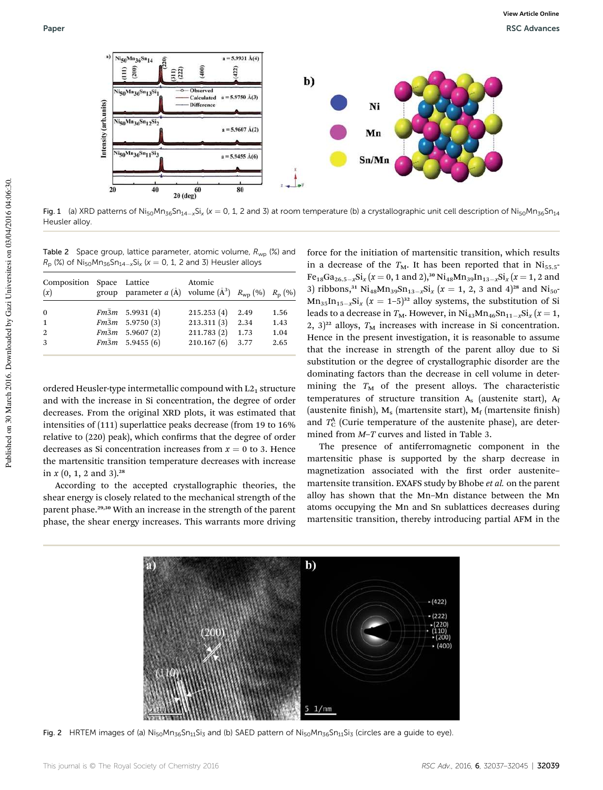

Fig. 1 (a) XRD patterns of Ni<sub>50</sub>Mn<sub>36</sub>Sn<sub>14-x</sub>Si<sub>x</sub> (x = 0, 1, 2 and 3) at room temperature (b) a crystallographic unit cell description of Ni<sub>50</sub>Mn<sub>36</sub>Sn<sub>14</sub> Heusler alloy.

Table 2 Space group, lattice parameter, atomic volume,  $R_{wp}$  (%) and  $R_{\rm p}$  (%) of Ni<sub>50</sub>Mn<sub>36</sub>Sn<sub>14-x</sub>Si<sub>x</sub> (x = 0, 1, 2 and 3) Heusler alloys

| Composition Space Lattice<br>(x) | group parameter $a(\mathring{A})$ volume $(\mathring{A}^3)$ $R_{wp}$ (%) $R_p$ (%) | Atomic     |      |      |
|----------------------------------|------------------------------------------------------------------------------------|------------|------|------|
| $\bf{0}$                         | $Fm\bar{3}m$ 5.9931 (4)                                                            | 215.253(4) | 2.49 | 1.56 |
| $\mathbf{1}$                     | $Fm\bar{3}m$ 5.9750 (3)                                                            | 213.311(3) | 2.34 | 1.43 |
| 2                                | $Fm\bar{3}m$ 5.9607 (2)                                                            | 211.783(2) | 1.73 | 1.04 |
| 3                                | $Fm\bar{3}m$ 5.9455 (6)                                                            | 210.167(6) | 3.77 | 2.65 |
|                                  |                                                                                    |            |      |      |

ordered Heusler-type intermetallic compound with  $L2<sub>1</sub>$  structure and with the increase in Si concentration, the degree of order decreases. From the original XRD plots, it was estimated that intensities of (111) superlattice peaks decrease (from 19 to 16% relative to (220) peak), which confirms that the degree of order decreases as Si concentration increases from  $x = 0$  to 3. Hence the martensitic transition temperature decreases with increase in  $x$  (0, 1, 2 and 3).<sup>28</sup>

According to the accepted crystallographic theories, the shear energy is closely related to the mechanical strength of the parent phase.29,30 With an increase in the strength of the parent phase, the shear energy increases. This warrants more driving

force for the initiation of martensitic transition, which results in a decrease of the  $T_M$ . It has been reported that in Ni<sub>55.5</sub>- $Fe_{18}Ga_{26.5-x}Si_x(x=0, 1 \text{ and } 2),^{30}Ni_{48}Mn_{39}In_{13-x}Si_x(x=1, 2 \text{ and } 2)$ 3) ribbons,<sup>31</sup> Ni<sub>48</sub>Mn<sub>39</sub>Sn<sub>13-x</sub>Si<sub>x</sub> ( $x = 1, 2, 3$  and 4)<sup>28</sup> and Ni<sub>50</sub><sup>-</sup>  $Mn_{35}$ In<sub>15-x</sub>Si<sub>x</sub> ( $x = 1-5$ )<sup>32</sup> alloy systems, the substitution of Si leads to a decrease in  $T_M$ . However, in  $\text{Ni}_{43}\text{Mn}_{46}\text{Sn}_{11-x}\text{Si}_x$  ( $x = 1$ , 2,  $3)^{22}$  alloys,  $T_M$  increases with increase in Si concentration. Hence in the present investigation, it is reasonable to assume that the increase in strength of the parent alloy due to Si substitution or the degree of crystallographic disorder are the dominating factors than the decrease in cell volume in determining the  $T_M$  of the present alloys. The characteristic temperatures of structure transition  $A_s$  (austenite start),  $A_f$ (austenite finish),  $M_s$  (martensite start),  $M_f$  (martensite finish) and  $T_{\rm C}^{\rm A}$  (Curie temperature of the austenite phase), are determined from *M*–*T* curves and listed in Table 3.

The presence of antiferromagnetic component in the martensitic phase is supported by the sharp decrease in magnetization associated with the first order austenitemartensite transition. EXAFS study by Bhobe *et al.* on the parent alloy has shown that the Mn–Mn distance between the Mn atoms occupying the Mn and Sn sublattices decreases during martensitic transition, thereby introducing partial AFM in the



Fig. 2 HRTEM images of (a)  $Ni_{50}Mn_{36}Sn_{11}Si_3$  and (b) SAED pattern of  $Ni_{50}Mn_{36}Sn_{11}Si_3$  (circles are a guide to eye).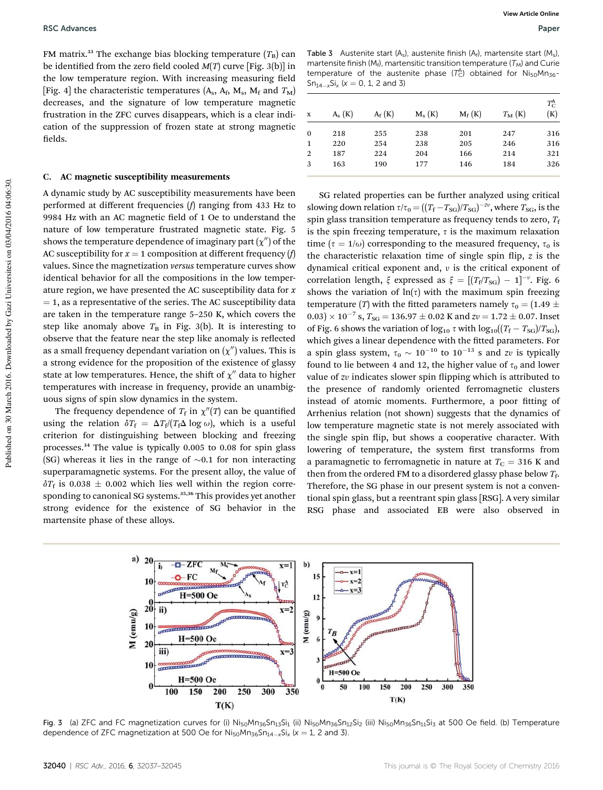FM matrix.<sup>33</sup> The exchange bias blocking temperature  $(T_B)$  can be identified from the zero field cooled  $M(T)$  curve [Fig. 3(b)] in the low temperature region. With increasing measuring field [Fig. 4] the characteristic temperatures ( $A_s$ ,  $A_f$ ,  $M_s$ ,  $M_f$  and  $T_M$ ) decreases, and the signature of low temperature magnetic frustration in the ZFC curves disappears, which is a clear indication of the suppression of frozen state at strong magnetic fields.

#### C. AC magnetic susceptibility measurements

A dynamic study by AC susceptibility measurements have been performed at different frequencies (*f*) ranging from 433 Hz to 9984 Hz with an AC magnetic field of 1 Oe to understand the nature of low temperature frustrated magnetic state. Fig. 5 shows the temperature dependence of imaginary part  $(\chi^{\prime\prime})$  of the AC susceptibility for  $x = 1$  composition at different frequency (*f*) values. Since the magnetization *versus* temperature curves show identical behavior for all the compositions in the low temperature region, we have presented the AC susceptibility data for *x*  $=$  1, as a representative of the series. The AC susceptibility data are taken in the temperature range 5–250 K, which covers the step like anomaly above  $T<sub>B</sub>$  in Fig. 3(b). It is interesting to observe that the feature near the step like anomaly is reflected as a small frequency dependant variation on  $(\chi^{\prime\prime})$  values. This is a strong evidence for the proposition of the existence of glassy state at low temperatures. Hence, the shift of  $\chi''$  data to higher temperatures with increase in frequency, provide an unambiguous signs of spin slow dynamics in the system.

The frequency dependence of  $T_{\rm f}$  in  $\chi''(T)$  can be quantified using the relation  $\delta T_f = \Delta T_f / (T_f \Delta \log \omega)$ , which is a useful criterion for distinguishing between blocking and freezing processes.<sup>34</sup> The value is typically 0.005 to 0.08 for spin glass (SG) whereas it lies in the range of  $\sim 0.1$  for non interacting superparamagnetic systems. For the present alloy, the value of  $\delta T_f$  is 0.038  $\pm$  0.002 which lies well within the region corresponding to canonical SG systems.<sup>35,36</sup> This provides yet another strong evidence for the existence of SG behavior in the martensite phase of these alloys.

Table 3 Austenite start  $(A_s)$ , austenite finish  $(A_f)$ , martensite start  $(M_s)$ , martensite finish ( $M_f$ ), martensitic transition temperature ( $T_M$ ) and Curie temperature of the austenite phase  $(T_C^A)$  obtained for  $Ni_{50}Mn_{36}$  $Sn_{14-x}Si_x (x = 0, 1, 2 \text{ and } 3)$ 

| X              | $A_{s}$ $(K)$ | $A_f(K)$ | $M_{s}(K)$ | $M_f(K)$ | $T_{\mathbf{M}}\left(\mathbf{K}\right)$ | $T_{\rm C}^{\rm A}$<br>(K) |
|----------------|---------------|----------|------------|----------|-----------------------------------------|----------------------------|
| $\mathbf{0}$   | 218           | 255      | 238        | 201      | 247                                     | 316                        |
| 1              | 220           | 254      | 238        | 205      | 246                                     | 316                        |
| $\overline{2}$ | 187           | 224      | 204        | 166      | 214                                     | 321                        |
| 3              | 163           | 190      | 177        | 146      | 184                                     | 326                        |
|                |               |          |            |          |                                         |                            |

SG related properties can be further analyzed using critical slowing down relation  $\tau/\tau_0 = ((T_f - T_{SG})/T_{SG})^{-2\nu}$ , where  $T_{SG}$ , is the spin glass transition temperature as frequency tends to zero,  $T_f$ is the spin freezing temperature,  $\tau$  is the maximum relaxation time ( $\tau = 1/\omega$ ) corresponding to the measured frequency,  $\tau_0$  is the characteristic relaxation time of single spin flip,  $z$  is the dynamical critical exponent and,  $v$  is the critical exponent of correlation length,  $\xi$  expressed as  $\xi = [(T_f/T_{SG}) - 1]^{-\nu}$ . Fig. 6 shows the variation of  $ln(τ)$  with the maximum spin freezing temperature (*T*) with the fitted parameters namely  $\tau_0 = (1.49 \pm 1.00)$  $(0.03) \times 10^{-7}$  s,  $T_{SG} = 136.97 \pm 0.02$  K and  $zv = 1.72 \pm 0.07$ . Inset of Fig. 6 shows the variation of  $\log_{10} \tau$  with  $\log_{10}((T_f - T_{SG})/T_{SG})$ , which gives a linear dependence with the fitted parameters. For a spin glass system,  $\tau_0 \sim 10^{-10}$  to  $10^{-13}$  s and *zv* is typically found to lie between 4 and 12, the higher value of  $\tau_0$  and lower value of *zv* indicates slower spin flipping which is attributed to the presence of randomly oriented ferromagnetic clusters instead of atomic moments. Furthermore, a poor fitting of Arrhenius relation (not shown) suggests that the dynamics of low temperature magnetic state is not merely associated with the single spin flip, but shows a cooperative character. With lowering of temperature, the system first transforms from a paramagnetic to ferromagnetic in nature at  $T_{\text{C}} = 316$  K and then from the ordered FM to a disordered glassy phase below  $T_{\rm f}$ . Therefore, the SG phase in our present system is not a conventional spin glass, but a reentrant spin glass [RSG]. A very similar RSG phase and associated EB were also observed in



Fig. 3 (a) ZFC and FC magnetization curves for (i) Ni<sub>50</sub>Mn<sub>36</sub>Sn<sub>13</sub>Si<sub>1</sub> (ii) Ni<sub>50</sub>Mn<sub>36</sub>Sn<sub>12</sub>Si<sub>2</sub> (iii) Ni<sub>50</sub>Mn<sub>36</sub>Sn<sub>11</sub>Si<sub>3</sub> at 500 Oe field. (b) Temperature dependence of ZFC magnetization at 500 Oe for  $\mathrm{Ni_{50}Mn_{36}Sn_{14-x}Si_{x}}$  ( $x = 1$ , 2 and 3).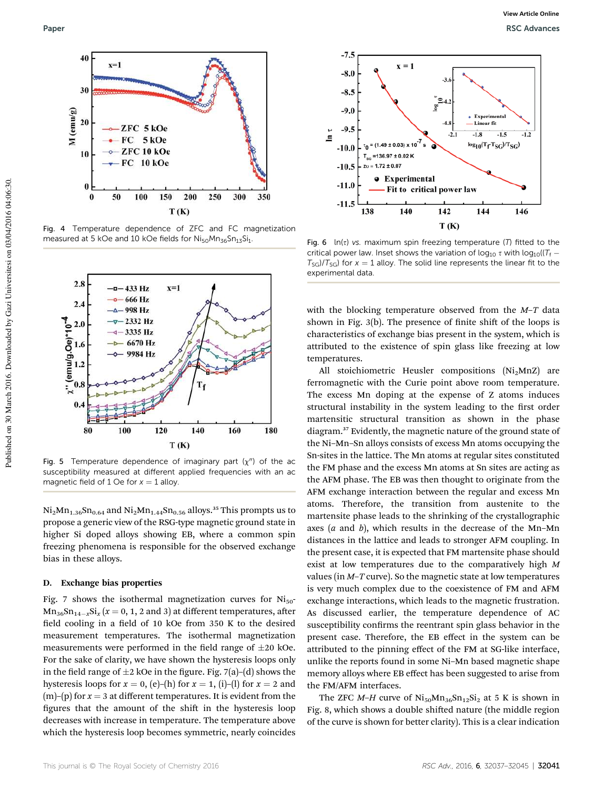

Fig. 4 Temperature dependence of ZFC and FC magnetization measured at 5 kOe and 10 kOe fields for  $\text{Ni}_{50}\text{Mn}_{36}\text{Sn}_{13}\text{Si}_1$ .



Fig. 5 Temperature dependence of imaginary part  $(\chi'')$  of the ac susceptibility measured at different applied frequencies with an ac magnetic field of 1 Oe for  $x = 1$  alloy.

 $Ni<sub>2</sub>Mn<sub>1.36</sub>Sn<sub>0.64</sub>$  and  $Ni<sub>2</sub>Mn<sub>1.44</sub>Sn<sub>0.56</sub>$  alloys.<sup>35</sup> This prompts us to propose a generic view of the RSG-type magnetic ground state in higher Si doped alloys showing EB, where a common spin freezing phenomena is responsible for the observed exchange bias in these alloys.

#### D. Exchange bias properties

Fig. 7 shows the isothermal magnetization curves for  $\text{Ni}_{50}$ - $Mn_{36}Sn_{14-x}Si_x$   $(x = 0, 1, 2 \text{ and } 3)$  at different temperatures, after field cooling in a field of 10 kOe from 350 K to the desired measurement temperatures. The isothermal magnetization measurements were performed in the field range of  $\pm 20$  kOe. For the sake of clarity, we have shown the hysteresis loops only in the field range of  $\pm 2$  kOe in the figure. Fig. 7(a)–(d) shows the hysteresis loops for  $x = 0$ , (e)–(h) for  $x = 1$ , (i)–(l) for  $x = 2$  and  $(m)$ –(p) for  $x = 3$  at different temperatures. It is evident from the figures that the amount of the shift in the hysteresis loop decreases with increase in temperature. The temperature above which the hysteresis loop becomes symmetric, nearly coincides



Fig. 6  $ln(\tau)$  vs. maximum spin freezing temperature (T) fitted to the critical power law. Inset shows the variation of log<sub>10</sub>  $\tau$  with log<sub>10</sub>( $T_f$  –  $T_{SG}/T_{SG}$ ) for  $x = 1$  alloy. The solid line represents the linear fit to the experimental data.

with the blocking temperature observed from the *M*–*T* data shown in Fig.  $3(b)$ . The presence of finite shift of the loops is characteristics of exchange bias present in the system, which is attributed to the existence of spin glass like freezing at low temperatures.

All stoichiometric Heusler compositions (Ni<sub>2</sub>MnZ) are ferromagnetic with the Curie point above room temperature. The excess Mn doping at the expense of Z atoms induces structural instability in the system leading to the first order martensitic structural transition as shown in the phase diagram.<sup>37</sup> Evidently, the magnetic nature of the ground state of the Ni–Mn–Sn alloys consists of excess Mn atoms occupying the Sn-sites in the lattice. The Mn atoms at regular sites constituted the FM phase and the excess Mn atoms at Sn sites are acting as the AFM phase. The EB was then thought to originate from the AFM exchange interaction between the regular and excess Mn atoms. Therefore, the transition from austenite to the martensite phase leads to the shrinking of the crystallographic axes (*a* and *b*), which results in the decrease of the Mn–Mn distances in the lattice and leads to stronger AFM coupling. In the present case, it is expected that FM martensite phase should exist at low temperatures due to the comparatively high *M* values (in *M*–*T* curve). So the magnetic state at low temperatures is very much complex due to the coexistence of FM and AFM exchange interactions, which leads to the magnetic frustration. As discussed earlier, the temperature dependence of AC susceptibility confirms the reentrant spin glass behavior in the present case. Therefore, the EB effect in the system can be attributed to the pinning effect of the FM at SG-like interface, unlike the reports found in some Ni–Mn based magnetic shape memory alloys where EB effect has been suggested to arise from the FM/AFM interfaces.

The ZFC  $M$ –*H* curve of Ni<sub>50</sub> $Mn_{36}Sn_{12}Si_2$  at 5 K is shown in Fig. 8, which shows a double shifted nature (the middle region of the curve is shown for better clarity). This is a clear indication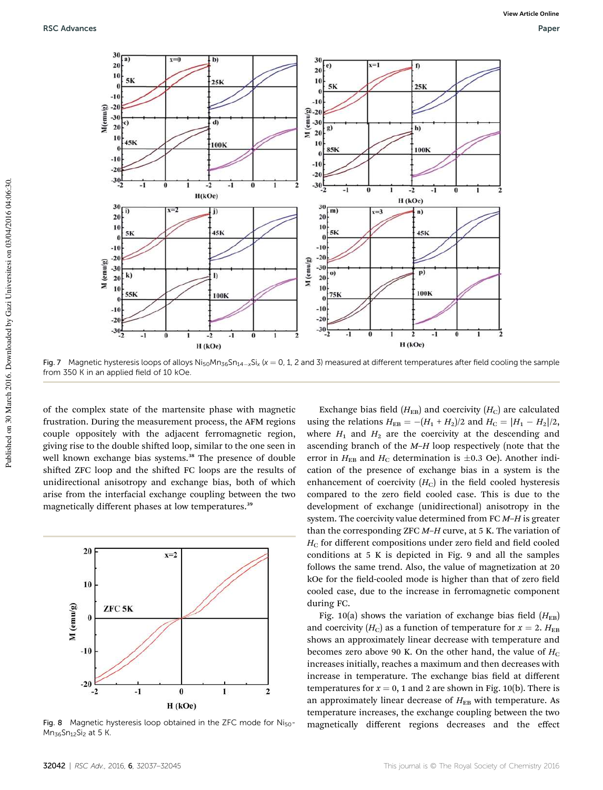

Fig. 7 Magnetic hysteresis loops of alloys Ni<sub>50</sub>Mn<sub>36</sub>Sn<sub>14-x</sub>Si<sub>x</sub> (x = 0, 1, 2 and 3) measured at different temperatures after field cooling the sample from 350 K in an applied field of 10 kOe.

of the complex state of the martensite phase with magnetic frustration. During the measurement process, the AFM regions couple oppositely with the adjacent ferromagnetic region, giving rise to the double shifted loop, similar to the one seen in well known exchange bias systems.<sup>38</sup> The presence of double shifted ZFC loop and the shifted FC loops are the results of unidirectional anisotropy and exchange bias, both of which arise from the interfacial exchange coupling between the two magnetically different phases at low temperatures.<sup>39</sup>



Fig. 8 Magnetic hysteresis loop obtained in the ZFC mode for Ni<sub>50</sub>- $Mn_{36}Sn_{12}Si_2$  at 5 K.

Exchange bias field  $(H_{EB})$  and coercivity  $(H_C)$  are calculated using the relations  $H_{EB} = -(H_1 + H_2)/2$  and  $H_C = |H_1 - H_2|/2$ , where  $H_1$  and  $H_2$  are the coercivity at the descending and ascending branch of the *M*–*H* loop respectively (note that the error in  $H_{EB}$  and  $H_C$  determination is  $\pm 0.3$  Oe). Another indication of the presence of exchange bias in a system is the enhancement of coercivity  $(H_C)$  in the field cooled hysteresis compared to the zero field cooled case. This is due to the development of exchange (unidirectional) anisotropy in the system. The coercivity value determined from FC *M*–*H* is greater than the corresponding ZFC *M*–*H* curve, at 5 K. The variation of *H*<sub>C</sub> for different compositions under zero field and field cooled conditions at 5 K is depicted in Fig. 9 and all the samples follows the same trend. Also, the value of magnetization at 20 kOe for the field-cooled mode is higher than that of zero field cooled case, due to the increase in ferromagnetic component during FC.

Fig. 10(a) shows the variation of exchange bias field  $(H_{EB})$ and coercivity  $(H_C)$  as a function of temperature for  $x = 2$ .  $H_{EB}$ shows an approximately linear decrease with temperature and becomes zero above 90 K. On the other hand, the value of  $H_C$ increases initially, reaches a maximum and then decreases with increase in temperature. The exchange bias field at different temperatures for  $x = 0$ , 1 and 2 are shown in Fig. 10(b). There is an approximately linear decrease of  $H_{EB}$  with temperature. As temperature increases, the exchange coupling between the two magnetically different regions decreases and the effect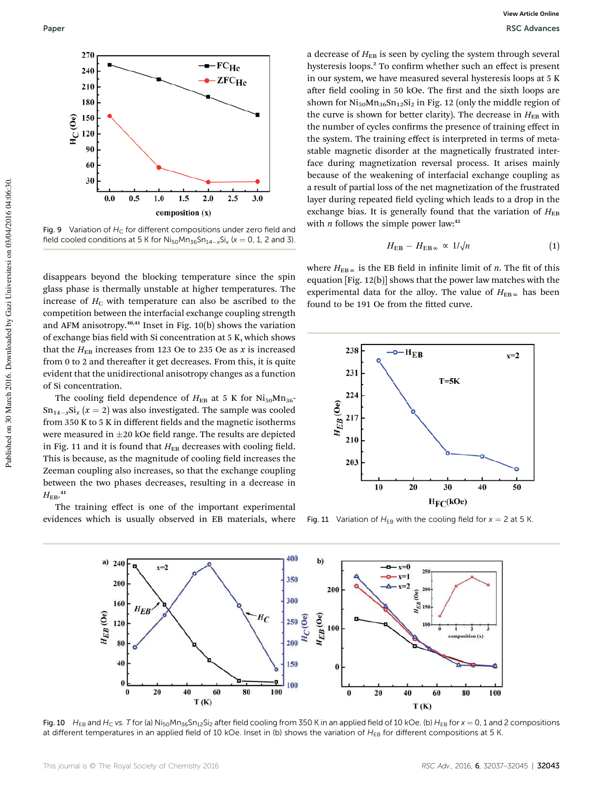

Fig. 9 Variation of  $H_C$  for different compositions under zero field and field cooled conditions at 5 K for  $\text{Ni}_{50}\text{Mn}_{36}\text{Sn}_{14-x}\text{Si}_x$  ( $x = 0$ , 1, 2 and 3).

disappears beyond the blocking temperature since the spin glass phase is thermally unstable at higher temperatures. The increase of  $H_C$  with temperature can also be ascribed to the competition between the interfacial exchange coupling strength and AFM anisotropy.<sup>40,41</sup> Inset in Fig. 10(b) shows the variation of exchange bias field with Si concentration at 5 K, which shows that the  $H_{EB}$  increases from 123 Oe to 235 Oe as *x* is increased from  $0$  to  $2$  and thereafter it get decreases. From this, it is quite evident that the unidirectional anisotropy changes as a function of Si concentration.

The cooling field dependence of  $H_{EB}$  at 5 K for  $Ni_{50}Mn_{36}$ - $\text{Sn}_{14-x}\text{Si}_x$  ( $x = 2$ ) was also investigated. The sample was cooled from 350 K to 5 K in different fields and the magnetic isotherms were measured in  $\pm 20$  kOe field range. The results are depicted in Fig. 11 and it is found that  $H_{EB}$  decreases with cooling field. This is because, as the magnitude of cooling field increases the Zeeman coupling also increases, so that the exchange coupling between the two phases decreases, resulting in a decrease in  $H_{\text{EB}}$ <sup>41</sup>

The training effect is one of the important experimental evidences which is usually observed in EB materials, where

a decrease of  $H_{EB}$  is seen by cycling the system through several hysteresis loops.<sup>2</sup> To confirm whether such an effect is present in our system, we have measured several hysteresis loops at 5 K after field cooling in 50 kOe. The first and the sixth loops are shown for  $Ni_{50}Mn_{36}Sn_{12}Si_2$  in Fig. 12 (only the middle region of the curve is shown for better clarity). The decrease in  $H_{EB}$  with the number of cycles confirms the presence of training effect in the system. The training effect is interpreted in terms of metastable magnetic disorder at the magnetically frustrated interface during magnetization reversal process. It arises mainly because of the weakening of interfacial exchange coupling as a result of partial loss of the net magnetization of the frustrated layer during repeated field cycling which leads to a drop in the exchange bias. It is generally found that the variation of  $H_{EB}$ with *n* follows the simple power law:<sup>42</sup>

$$
H_{\rm EB} - H_{\rm EB\,\infty} \,\propto\, 1/\sqrt{n} \tag{1}
$$

where  $H_{EB\infty}$  is the EB field in infinite limit of *n*. The fit of this equation [Fig. 12(b)] shows that the power law matches with the experimental data for the alloy. The value of  $H_{EB}$ <sub>∞</sub> has been found to be 191 Oe from the fitted curve.



Fig. 11 Variation of  $H_{EB}$  with the cooling field for  $x = 2$  at 5 K.



Fig. 10  $H_{EB}$  and  $H_C$  vs. T for (a) Ni<sub>50</sub>Mn<sub>36</sub>Sn<sub>12</sub>Si<sub>2</sub> after field cooling from 350 K in an applied field of 10 kOe. (b)  $H_{EB}$  for  $x = 0$ , 1 and 2 compositions at different temperatures in an applied field of 10 kOe. Inset in (b) shows the variation of  $H_{EB}$  for different compositions at 5 K.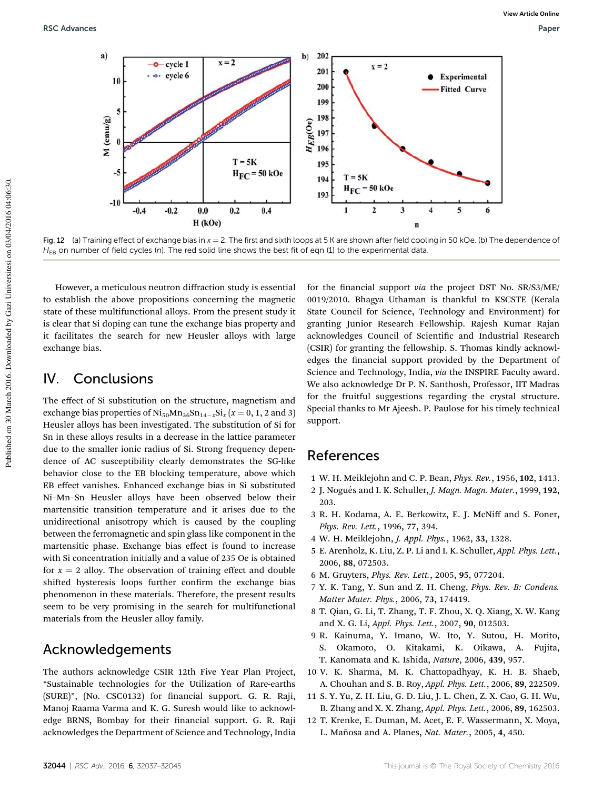

Fig. 12 (a) Training effect of exchange bias in  $x = 2$ . The first and sixth loops at 5 K are shown after field cooling in 50 kOe. (b) The dependence of  $H_{FB}$  on number of field cycles (n). The red solid line shows the best fit of eqn (1) to the experimental data.

However, a meticulous neutron diffraction study is essential to establish the above propositions concerning the magnetic state of these multifunctional alloys. From the present study it is clear that Si doping can tune the exchange bias property and it facilitates the search for new Heusler alloys with large exchange bias.

### IV. Conclusions

The effect of Si substitution on the structure, magnetism and exchange bias properties of  $\text{Ni}_{50}\text{Mn}_{36}\text{Sn}_{14-x}\text{Si}_x$   $(x = 0, 1, 2 \text{ and } 3)$ Heusler alloys has been investigated. The substitution of Si for Sn in these alloys results in a decrease in the lattice parameter due to the smaller ionic radius of Si. Strong frequency dependence of AC susceptibility clearly demonstrates the SG-like behavior close to the EB blocking temperature, above which EB effect vanishes. Enhanced exchange bias in Si substituted Ni–Mn–Sn Heusler alloys have been observed below their martensitic transition temperature and it arises due to the unidirectional anisotropy which is caused by the coupling between the ferromagnetic and spin glass like component in the martensitic phase. Exchange bias effect is found to increase with Si concentration initially and a value of 235 Oe is obtained for  $x = 2$  alloy. The observation of training effect and double shifted hysteresis loops further confirm the exchange bias phenomenon in these materials. Therefore, the present results seem to be very promising in the search for multifunctional materials from the Heusler alloy family.

### Acknowledgements

The authors acknowledge CSIR 12th Five Year Plan Project, "Sustainable technologies for the Utilization of Rare-earths (SURE)", (No. CSC0132) for financial support. G. R. Raji, Manoj Raama Varma and K. G. Suresh would like to acknowledge BRNS, Bombay for their financial support. G. R. Raji acknowledges the Department of Science and Technology, India

for the financial support *via* the project DST No. SR/S3/ME/ 0019/2010. Bhagya Uthaman is thankful to KSCSTE (Kerala State Council for Science, Technology and Environment) for granting Junior Research Fellowship. Rajesh Kumar Rajan acknowledges Council of Scientific and Industrial Research (CSIR) for granting the fellowship. S. Thomas kindly acknowledges the financial support provided by the Department of Science and Technology, India, *via* the INSPIRE Faculty award. We also acknowledge Dr P. N. Santhosh, Professor, IIT Madras for the fruitful suggestions regarding the crystal structure. Special thanks to Mr Ajeesh. P. Paulose for his timely technical support.

### References

- 1 W. H. Meiklejohn and C. P. Bean, *Phys. Rev.*, 1956, 102, 1413.
- 2 J. Nogu´es and I. K. Schuller, *J. Magn. Magn. Mater.*, 1999, 192, 203.
- 3 R. H. Kodama, A. E. Berkowitz, E. J. McNiff and S. Foner, *Phys. Rev. Lett.*, 1996, 77, 394.
- 4 W. H. Meiklejohn, *J. Appl. Phys.*, 1962, 33, 1328.
- 5 E. Arenholz, K. Liu, Z. P. Li and I. K. Schuller, *Appl. Phys. Lett.*, 2006, 88, 072503.
- 6 M. Gruyters, *Phys. Rev. Lett.*, 2005, 95, 077204.
- 7 Y. K. Tang, Y. Sun and Z. H. Cheng, *Phys. Rev. B: Condens. Matter Mater. Phys.*, 2006, 73, 174419.
- 8 T. Qian, G. Li, T. Zhang, T. F. Zhou, X. Q. Xiang, X. W. Kang and X. G. Li, *Appl. Phys. Lett.*, 2007, 90, 012503.
- 9 R. Kainuma, Y. Imano, W. Ito, Y. Sutou, H. Morito, S. Okamoto, O. Kitakami, K. Oikawa, A. Fujita, T. Kanomata and K. Ishida, *Nature*, 2006, 439, 957.
- 10 V. K. Sharma, M. K. Chattopadhyay, K. H. B. Shaeb, A. Chouhan and S. B. Roy, *Appl. Phys. Lett.*, 2006, 89, 222509.
- 11 S. Y. Yu, Z. H. Liu, G. D. Liu, J. L. Chen, Z. X. Cao, G. H. Wu, B. Zhang and X. X. Zhang, *Appl. Phys. Lett.*, 2006, 89, 162503.
- 12 T. Krenke, E. Duman, M. Acet, E. F. Wassermann, X. Moya, L. Mañosa and A. Planes, Nat. Mater., 2005, 4, 450.